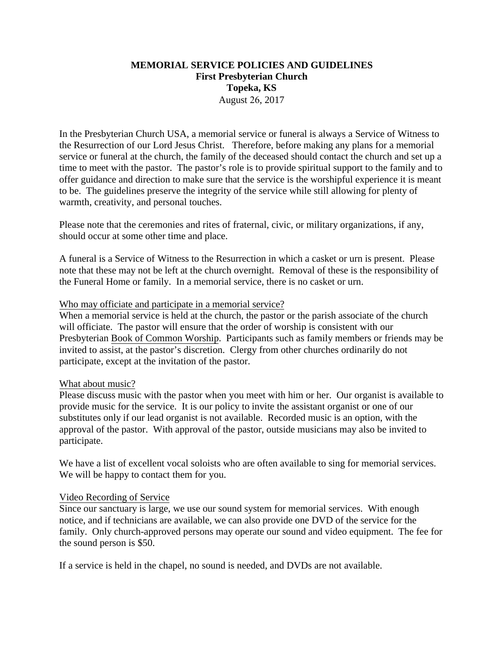# **MEMORIAL SERVICE POLICIES AND GUIDELINES First Presbyterian Church Topeka, KS**  August 26, 2017

In the Presbyterian Church USA, a memorial service or funeral is always a Service of Witness to the Resurrection of our Lord Jesus Christ. Therefore, before making any plans for a memorial service or funeral at the church, the family of the deceased should contact the church and set up a time to meet with the pastor. The pastor's role is to provide spiritual support to the family and to offer guidance and direction to make sure that the service is the worshipful experience it is meant to be. The guidelines preserve the integrity of the service while still allowing for plenty of warmth, creativity, and personal touches.

Please note that the ceremonies and rites of fraternal, civic, or military organizations, if any, should occur at some other time and place.

A funeral is a Service of Witness to the Resurrection in which a casket or urn is present. Please note that these may not be left at the church overnight. Removal of these is the responsibility of the Funeral Home or family. In a memorial service, there is no casket or urn.

## Who may officiate and participate in a memorial service?

When a memorial service is held at the church, the pastor or the parish associate of the church will officiate. The pastor will ensure that the order of worship is consistent with our Presbyterian Book of Common Worship. Participants such as family members or friends may be invited to assist, at the pastor's discretion. Clergy from other churches ordinarily do not participate, except at the invitation of the pastor.

#### What about music?

Please discuss music with the pastor when you meet with him or her. Our organist is available to provide music for the service. It is our policy to invite the assistant organist or one of our substitutes only if our lead organist is not available. Recorded music is an option, with the approval of the pastor. With approval of the pastor, outside musicians may also be invited to participate.

We have a list of excellent vocal soloists who are often available to sing for memorial services. We will be happy to contact them for you.

## Video Recording of Service

Since our sanctuary is large, we use our sound system for memorial services. With enough notice, and if technicians are available, we can also provide one DVD of the service for the family. Only church-approved persons may operate our sound and video equipment. The fee for the sound person is \$50.

If a service is held in the chapel, no sound is needed, and DVDs are not available.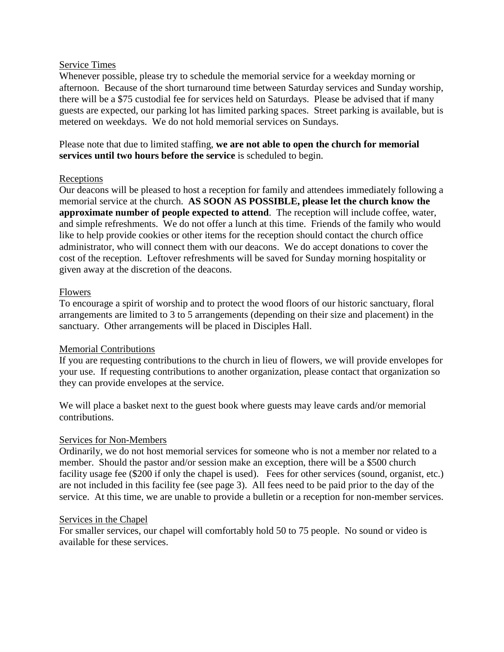### Service Times

Whenever possible, please try to schedule the memorial service for a weekday morning or afternoon. Because of the short turnaround time between Saturday services and Sunday worship, there will be a \$75 custodial fee for services held on Saturdays. Please be advised that if many guests are expected, our parking lot has limited parking spaces. Street parking is available, but is metered on weekdays. We do not hold memorial services on Sundays.

Please note that due to limited staffing, **we are not able to open the church for memorial services until two hours before the service** is scheduled to begin.

## Receptions

Our deacons will be pleased to host a reception for family and attendees immediately following a memorial service at the church. **AS SOON AS POSSIBLE, please let the church know the approximate number of people expected to attend**. The reception will include coffee, water, and simple refreshments. We do not offer a lunch at this time. Friends of the family who would like to help provide cookies or other items for the reception should contact the church office administrator, who will connect them with our deacons. We do accept donations to cover the cost of the reception. Leftover refreshments will be saved for Sunday morning hospitality or given away at the discretion of the deacons.

#### Flowers

To encourage a spirit of worship and to protect the wood floors of our historic sanctuary, floral arrangements are limited to 3 to 5 arrangements (depending on their size and placement) in the sanctuary. Other arrangements will be placed in Disciples Hall.

## Memorial Contributions

If you are requesting contributions to the church in lieu of flowers, we will provide envelopes for your use. If requesting contributions to another organization, please contact that organization so they can provide envelopes at the service.

We will place a basket next to the guest book where guests may leave cards and/or memorial contributions.

## Services for Non-Members

Ordinarily, we do not host memorial services for someone who is not a member nor related to a member. Should the pastor and/or session make an exception, there will be a \$500 church facility usage fee (\$200 if only the chapel is used). Fees for other services (sound, organist, etc.) are not included in this facility fee (see page 3). All fees need to be paid prior to the day of the service. At this time, we are unable to provide a bulletin or a reception for non-member services.

#### Services in the Chapel

For smaller services, our chapel will comfortably hold 50 to 75 people. No sound or video is available for these services.